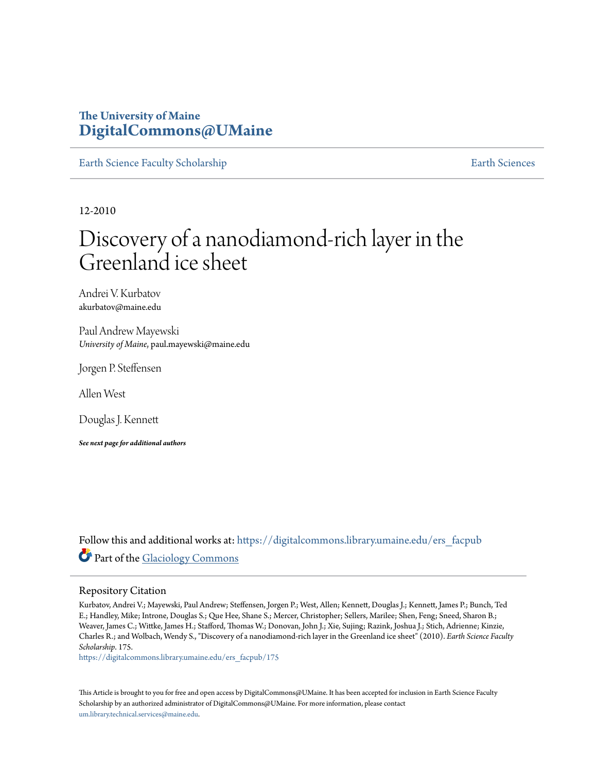### **The University of Maine [DigitalCommons@UMaine](https://digitalcommons.library.umaine.edu?utm_source=digitalcommons.library.umaine.edu%2Fers_facpub%2F175&utm_medium=PDF&utm_campaign=PDFCoverPages)**

[Earth Science Faculty Scholarship](https://digitalcommons.library.umaine.edu/ers_facpub?utm_source=digitalcommons.library.umaine.edu%2Fers_facpub%2F175&utm_medium=PDF&utm_campaign=PDFCoverPages) **[Earth Sciences](https://digitalcommons.library.umaine.edu/ers?utm_source=digitalcommons.library.umaine.edu%2Fers_facpub%2F175&utm_medium=PDF&utm_campaign=PDFCoverPages)** 

12-2010

# Discovery of a nanodiamond-rich layer in the Greenland ice sheet

Andrei V. Kurbatov akurbatov@maine.edu

Paul Andrew Mayewski *University of Maine*, paul.mayewski@maine.edu

Jorgen P. Steffensen

Allen West

Douglas J. Kennett

*See next page for additional authors*

Follow this and additional works at: [https://digitalcommons.library.umaine.edu/ers\\_facpub](https://digitalcommons.library.umaine.edu/ers_facpub?utm_source=digitalcommons.library.umaine.edu%2Fers_facpub%2F175&utm_medium=PDF&utm_campaign=PDFCoverPages) Part of the [Glaciology Commons](http://network.bepress.com/hgg/discipline/159?utm_source=digitalcommons.library.umaine.edu%2Fers_facpub%2F175&utm_medium=PDF&utm_campaign=PDFCoverPages)

#### Repository Citation

Kurbatov, Andrei V.; Mayewski, Paul Andrew; Steffensen, Jorgen P.; West, Allen; Kennett, Douglas J.; Kennett, James P.; Bunch, Ted E.; Handley, Mike; Introne, Douglas S.; Que Hee, Shane S.; Mercer, Christopher; Sellers, Marilee; Shen, Feng; Sneed, Sharon B.; Weaver, James C.; Wittke, James H.; Stafford, Thomas W.; Donovan, John J.; Xie, Sujing; Razink, Joshua J.; Stich, Adrienne; Kinzie, Charles R.; and Wolbach, Wendy S., "Discovery of a nanodiamond-rich layer in the Greenland ice sheet" (2010). *Earth Science Faculty Scholarship*. 175.

[https://digitalcommons.library.umaine.edu/ers\\_facpub/175](https://digitalcommons.library.umaine.edu/ers_facpub/175?utm_source=digitalcommons.library.umaine.edu%2Fers_facpub%2F175&utm_medium=PDF&utm_campaign=PDFCoverPages)

This Article is brought to you for free and open access by DigitalCommons@UMaine. It has been accepted for inclusion in Earth Science Faculty Scholarship by an authorized administrator of DigitalCommons@UMaine. For more information, please contact [um.library.technical.services@maine.edu](mailto:um.library.technical.services@maine.edu).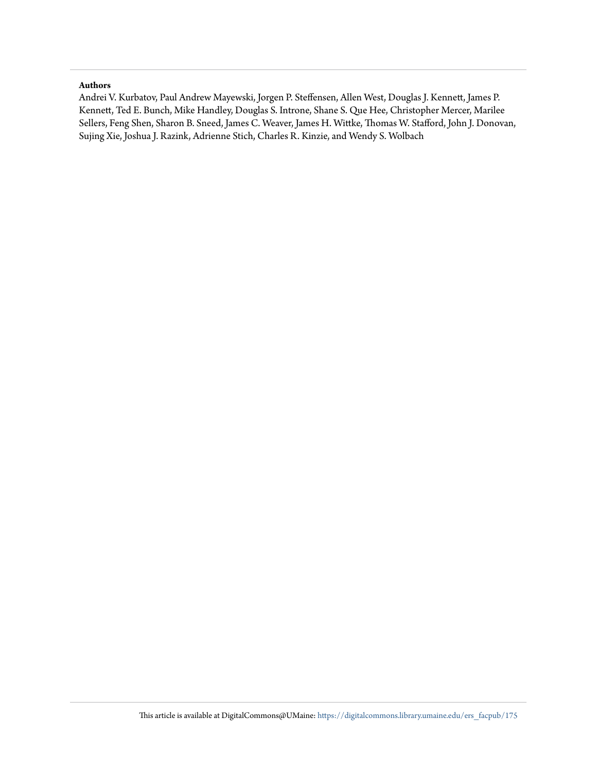#### **Authors**

Andrei V. Kurbatov, Paul Andrew Mayewski, Jorgen P. Steffensen, Allen West, Douglas J. Kennett, James P. Kennett, Ted E. Bunch, Mike Handley, Douglas S. Introne, Shane S. Que Hee, Christopher Mercer, Marilee Sellers, Feng Shen, Sharon B. Sneed, James C. Weaver, James H. Wittke, Thomas W. Stafford, John J. Donovan, Sujing Xie, Joshua J. Razink, Adrienne Stich, Charles R. Kinzie, and Wendy S. Wolbach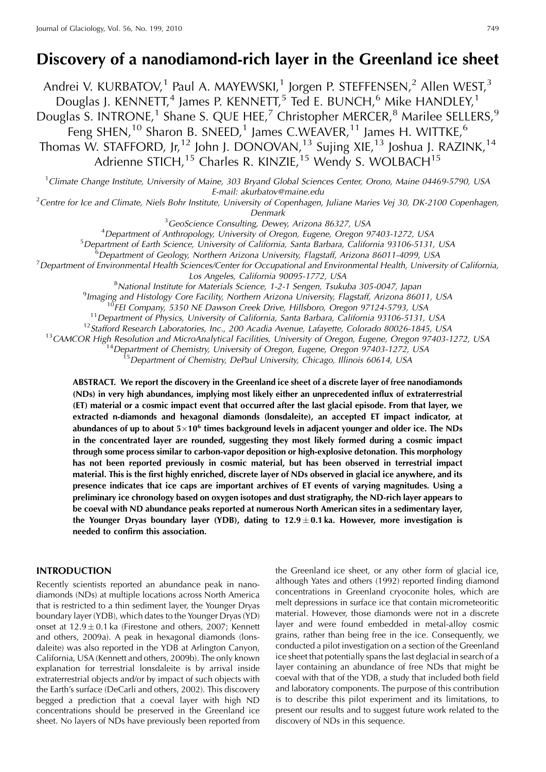## **Discovery of a nanodiamond-rich layer in the Greenland ice sheet**

Andrei V. KURBATOV,<sup>1</sup> Paul A. MAYEWSKI,<sup>1</sup> Jorgen P. STEFFENSEN,<sup>2</sup> Allen WEST,<sup>3</sup> Douglas J. KENNETT,<sup>4</sup> James P. KENNETT,<sup>5</sup> Ted E. BUNCH,<sup>6</sup> Mike HANDLEY,<sup>1</sup> Douglas S. INTRONE,<sup>1</sup> Shane S. QUE HEE,<sup>7</sup> Christopher MERCER,<sup>8</sup> Marilee SELLERS,<sup>9</sup> Feng SHEN,<sup>10</sup> Sharon B. SNEED,<sup>1</sup> James C.WEAVER,<sup>11</sup> James H. WITTKE,<sup>6</sup> Thomas W. STAFFORD, Jr,<sup>12</sup> John J. DONOVAN,<sup>13</sup> Sujing XIE,<sup>13</sup> Joshua J. RAZINK,<sup>14</sup> Adrienne STICH,<sup>15</sup> Charles R. KINZIE,<sup>15</sup> Wendy S. WOLBACH<sup>15</sup>

<sup>1</sup>Climate Change Institute, University of Maine, 303 Bryand Global Sciences Center, Orono, Maine 04469-5790, USA

E-mail: akurbatov@maine.edu<br>Centre for Ice and Climate, Niels Bohr Institute, University of Copenhagen, Juliane Maries Vej 30, DK-2100 Copenhagen, <sup>2</sup>

Denmark<br><sup>3</sup>GeoScience Consulting, Dewey, Arizona 86327, USA <sup>3</sup> GeoScience Consulting, Dewey, Arizona 86327, USA<br><sup>4</sup> Department of Anthropology, University of Oregon, Fugene, Oregon

<sup>4</sup> Department of Anthropology, University of Oregon, Eugene, Oregon 97403-1272, USA<br><sup>5</sup> Department of Earth Science, University of California, Santa Barbara, California 93106,5131

<sup>5</sup>Department of Earth Science, University of California, Santa Barbara, California 93106-5131, USA

 ${}^{6}$ Department of Geology, Northern Arizona University, Flagstaff, Arizona 86011-4099, USA

 $^7$ Department of Environmental Health Sciences/Center for Occupational and Environmental Health, University of California,

Los Angeles, California 90095-1772, USA<br><sup>8</sup>National Institute for Materials Science, 1-2-1 Sengen, Tsuku

National Institute for Materials Science, 1-2-1 Sengen, Tsukuba 305-0047, Japan <sup>9</sup> Imaging and Histology Core Eacility Northern Arizona University Elagstaff, Arizona 860

<sup>9</sup> Imaging and Histology Core Facility, Northern Arizona University, Flagstaff, Arizona 86011, USA<br><sup>10</sup>FEI Company, 5350 NE Dawson Creek Drive, Hillsboro, Oregon 97124-5793, USA<br><sup>11</sup> Department of Physics, University of

**ABSTRACT. We report the discovery in the Greenland ice sheet of a discrete layer of free nanodiamonds (NDs) in very high abundances, implying most likely either an unprecedented influx of extraterrestrial (ET) material or a cosmic impact event that occurred after the last glacial episode. From that layer, we extracted n-diamonds and hexagonal diamonds (lonsdaleite), an accepted ET impact indicator, at abundances of up to about 5**!**10<sup>6</sup> times background levels in adjacent younger and older ice. The NDs in the concentrated layer are rounded, suggesting they most likely formed during a cosmic impact through some process similar to carbon-vapor deposition or high-explosive detonation. This morphology has not been reported previously in cosmic material, but has been observed in terrestrial impact material. This is the first highly enriched, discrete layer of NDs observed in glacial ice anywhere, and its presence indicates that ice caps are important archives of ET events of varying magnitudes. Using a preliminary ice chronology based on oxygen isotopes and dust stratigraphy, the ND-rich layer appears to be coeval with ND abundance peaks reported at numerous North American sites in a sedimentary layer,** the Younger Dryas boundary layer (YDB), dating to  $12.9 \pm 0.1$  ka. However, more investigation is **needed to confirm this association.**

#### **INTRODUCTION**

Recently scientists reported an abundance peak in nanodiamonds (NDs) at multiple locations across North America that is restricted to a thin sediment layer, the Younger Dryas boundary layer (YDB), which dates to the Younger Dryas (YD) onset at  $12.9 \pm 0.1$  ka (Firestone and others, 2007; Kennett and others, 2009a). A peak in hexagonal diamonds (lonsdaleite) was also reported in the YDB at Arlington Canyon, California, USA (Kennett and others, 2009b). The only known explanation for terrestrial lonsdaleite is by arrival inside extraterrestrial objects and/or by impact of such objects with the Earth's surface (DeCarli and others, 2002). This discovery begged a prediction that a coeval layer with high ND concentrations should be preserved in the Greenland ice sheet. No layers of NDs have previously been reported from

the Greenland ice sheet, or any other form of glacial ice, although Yates and others (1992) reported finding diamond concentrations in Greenland cryoconite holes, which are melt depressions in surface ice that contain micrometeoritic material. However, those diamonds were not in a discrete layer and were found embedded in metal-alloy cosmic grains, rather than being free in the ice. Consequently, we conducted a pilot investigation on a section of the Greenland ice sheet that potentially spans the last deglacial in search of a layer containing an abundance of free NDs that might be coeval with that of the YDB, a study that included both field and laboratory components. The purpose of this contribution is to describe this pilot experiment and its limitations, to present our results and to suggest future work related to the discovery of NDs in this sequence.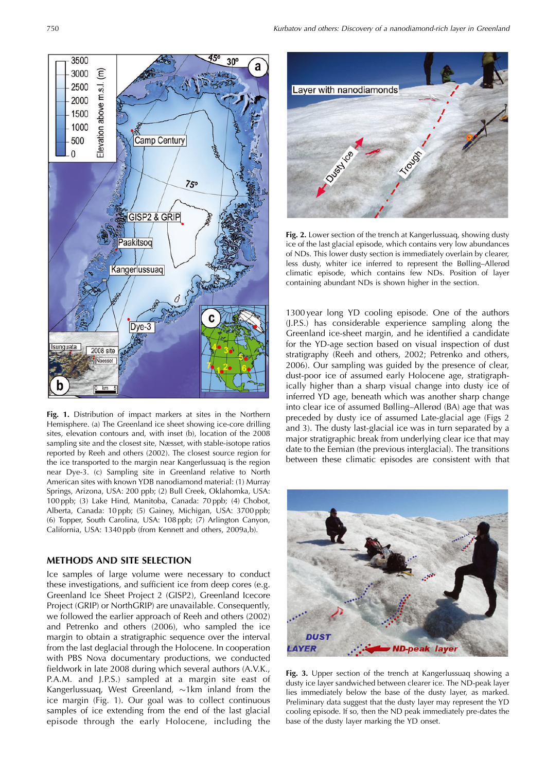**Fig. 1.** Distribution of impact markers at sites in the Northern Hemisphere. (a) The Greenland ice sheet showing ice-core drilling sites, elevation contours and, with inset (b), location of the 2008 sampling site and the closest site, Næsset, with stable-isotope ratios reported by Reeh and others (2002). The closest source region for the ice transported to the margin near Kangerlussuaq is the region near Dye-3. (c) Sampling site in Greenland relative to North American sites with known YDB nanodiamond material: (1) Murray Springs, Arizona, USA: 200 ppb; (2) Bull Creek, Oklahomka, USA: 100 ppb; (3) Lake Hind, Manitoba, Canada: 70 ppb; (4) Chobot, Alberta, Canada: 10 ppb; (5) Gainey, Michigan, USA: 3700 ppb; (6) Topper, South Carolina, USA: 108 ppb; (7) Arlington Canyon, California, USA: 1340 ppb (from Kennett and others, 2009a,b).

#### **METHODS AND SITE SELECTION**

Ice samples of large volume were necessary to conduct these investigations, and sufficient ice from deep cores (e.g. Greenland Ice Sheet Project 2 (GISP2), Greenland Icecore Project (GRIP) or NorthGRIP) are unavailable. Consequently, we followed the earlier approach of Reeh and others (2002) and Petrenko and others (2006), who sampled the ice margin to obtain a stratigraphic sequence over the interval from the last deglacial through the Holocene. In cooperation with PBS Nova documentary productions, we conducted fieldwork in late 2008 during which several authors (A.V.K., P.A.M. and J.P.S.) sampled at a margin site east of Kangerlussuaq, West Greenland,  $\sim$ 1km inland from the ice margin (Fig. 1). Our goal was to collect continuous samples of ice extending from the end of the last glacial episode through the early Holocene, including the

1300 year long YD cooling episode. One of the authors (J.P.S.) has considerable experience sampling along the Greenland ice-sheet margin, and he identified a candidate for the YD-age section based on visual inspection of dust containing abundant NDs is shown higher in the section.

stratigraphy (Reeh and others, 2002; Petrenko and others, 2006). Our sampling was guided by the presence of clear, dust-poor ice of assumed early Holocene age, stratigraphically higher than a sharp visual change into dusty ice of inferred YD age, beneath which was another sharp change into clear ice of assumed Bølling–Allerød (BA) age that was preceded by dusty ice of assumed Late-glacial age (Figs 2 and 3). The dusty last-glacial ice was in turn separated by a major stratigraphic break from underlying clear ice that may date to the Eemian (the previous interglacial). The transitions

between these climatic episodes are consistent with that

**Fig. 2.** Lower section of the trench at Kangerlussuaq, showing dusty ice of the last glacial episode, which contains very low abundances of NDs. This lower dusty section is immediately overlain by clearer, less dusty, whiter ice inferred to represent the Bølling–Allerød climatic episode, which contains few NDs. Position of layer

Laver with nanodiamonds

Dunball



**ND-peak layer** 

**DUS AYER** 

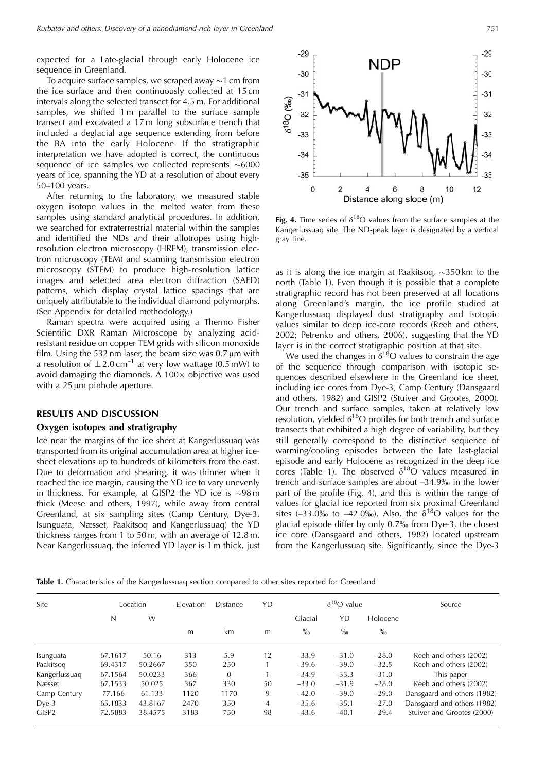expected for a Late-glacial through early Holocene ice sequence in Greenland.

To acquire surface samples, we scraped away  $\sim$ 1 cm from the ice surface and then continuously collected at 15 cm intervals along the selected transect for 4.5 m. For additional samples, we shifted 1 m parallel to the surface sample transect and excavated a 17 m long subsurface trench that included a deglacial age sequence extending from before the BA into the early Holocene. If the stratigraphic interpretation we have adopted is correct, the continuous sequence of ice samples we collected represents  $\sim 6000$ years of ice, spanning the YD at a resolution of about every 50–100 years.

After returning to the laboratory, we measured stable oxygen isotope values in the melted water from these samples using standard analytical procedures. In addition, we searched for extraterrestrial material within the samples and identified the NDs and their allotropes using highresolution electron microscopy (HREM), transmission electron microscopy (TEM) and scanning transmission electron microscopy (STEM) to produce high-resolution lattice images and selected area electron diffraction (SAED) patterns, which display crystal lattice spacings that are uniquely attributable to the individual diamond polymorphs. (See Appendix for detailed methodology.)

Raman spectra were acquired using a Thermo Fisher Scientific DXR Raman Microscope by analyzing acidresistant residue on copper TEM grids with silicon monoxide film. Using the 532 nm laser, the beam size was  $0.7 \mu m$  with a resolution of  $\pm 2.0 \text{ cm}^{-1}$  at very low wattage (0.5 mW) to avoid damaging the diamonds. A  $100 \times$  objective was used with a  $25 \mu m$  pinhole aperture.

#### **RESULTS AND DISCUSSION**

#### **Oxygen isotopes and stratigraphy**

Ice near the margins of the ice sheet at Kangerlussuaq was transported from its original accumulation area at higher icesheet elevations up to hundreds of kilometers from the east. Due to deformation and shearing, it was thinner when it reached the ice margin, causing the YD ice to vary unevenly in thickness. For example, at GISP2 the YD ice is  $\sim$ 98 m thick (Meese and others, 1997), while away from central Greenland, at six sampling sites (Camp Century, Dye-3, Isunguata, Næsset, Paakitsoq and Kangerlussuaq) the YD thickness ranges from 1 to 50 m, with an average of 12.8 m. Near Kangerlussuaq, the inferred YD layer is 1 m thick, just



Fig. 4. Time series of  $\delta^{18}O$  values from the surface samples at the Kangerlussuaq site. The ND-peak layer is designated by a vertical gray line.

as it is along the ice margin at Paakitsoq,  $\sim$ 350 km to the north (Table 1). Even though it is possible that a complete stratigraphic record has not been preserved at all locations along Greenland's margin, the ice profile studied at Kangerlussuaq displayed dust stratigraphy and isotopic values similar to deep ice-core records (Reeh and others, 2002; Petrenko and others, 2006), suggesting that the YD layer is in the correct stratigraphic position at that site.

We used the changes in  $\delta^{18}O$  values to constrain the age of the sequence through comparison with isotopic sequences described elsewhere in the Greenland ice sheet, including ice cores from Dye-3, Camp Century (Dansgaard and others, 1982) and GISP2 (Stuiver and Grootes, 2000). Our trench and surface samples, taken at relatively low resolution, yielded  $\delta^{18}O$  profiles for both trench and surface transects that exhibited a high degree of variability, but they still generally correspond to the distinctive sequence of warming/cooling episodes between the late last-glacial episode and early Holocene as recognized in the deep ice cores (Table 1). The observed  $\delta^{18}O$  values measured in trench and surface samples are about –34.9% in the lower part of the profile (Fig. 4), and this is within the range of values for glacial ice reported from six proximal Greenland sites (-33.0% to -42.0%). Also, the  $\delta^{18}O$  values for the glacial episode differ by only 0.7% from Dye-3, the closest ice core (Dansgaard and others, 1982) located upstream from the Kangerlussuaq site. Significantly, since the Dye-3

Table 1. Characteristics of the Kangerlussuag section compared to other sites reported for Greenland

| Site              | Location |         | <b>Elevation</b> | <b>Distance</b> | YD             | $\delta^{18}O$ value |         |          | Source                      |
|-------------------|----------|---------|------------------|-----------------|----------------|----------------------|---------|----------|-----------------------------|
|                   | N        | W       |                  |                 |                | Glacial              | YD      | Holocene |                             |
|                   |          |         | m                | km              | m              | $\%$                 | $\%$    | $\%$     |                             |
| Isunguata         | 67.1617  | 50.16   | 313              | 5.9             | 12             | $-33.9$              | $-31.0$ | $-28.0$  | Reeh and others (2002)      |
| Paakitsog         | 69.4317  | 50.2667 | 350              | 250             |                | $-39.6$              | $-39.0$ | $-32.5$  | Reeh and others (2002)      |
| Kangerlussuaq     | 67.1564  | 50.0233 | 366              | $\mathbf{0}$    |                | $-34.9$              | $-33.3$ | $-31.0$  | This paper                  |
| Næsset            | 67.1533  | 50.025  | 367              | 330             | 50             | $-33.0$              | $-31.9$ | $-28.0$  | Reeh and others (2002)      |
| Camp Century      | 77.166   | 61.133  | 1120             | 1170            | 9              | $-42.0$              | $-39.0$ | $-29.0$  | Dansgaard and others (1982) |
| $Dye-3$           | 65.1833  | 43.8167 | 2470             | 350             | $\overline{4}$ | $-35.6$              | $-35.1$ | $-27.0$  | Dansgaard and others (1982) |
| GISP <sub>2</sub> | 72.5883  | 38.4575 | 3183             | 750             | 98             | $-43.6$              | $-40.1$ | $-29.4$  | Stuiver and Grootes (2000)  |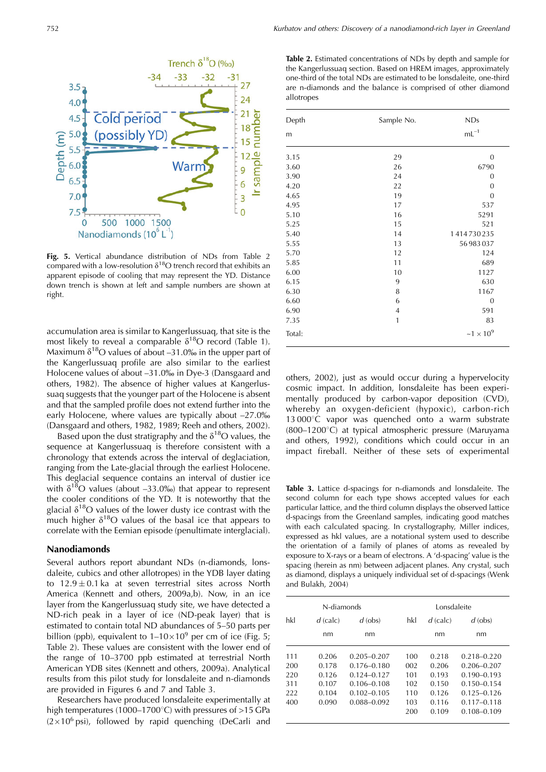

**Fig. 5.** Vertical abundance distribution of NDs from Table 2 compared with a low-resolution  $\delta^{18}O$  trench record that exhibits an apparent episode of cooling that may represent the YD. Distance down trench is shown at left and sample numbers are shown at right.

accumulation area is similar to Kangerlussuaq, that site is the most likely to reveal a comparable  $\delta^{18}O$  record (Table 1). Maximum  $\delta^{18}$ O values of about –31.0‰ in the upper part of the Kangerlussuaq profile are also similar to the earliest Holocene values of about –31.0% in Dye-3 (Dansgaard and others, 1982). The absence of higher values at Kangerlussuaq suggests that the younger part of the Holocene is absent and that the sampled profile does not extend further into the early Holocene, where values are typically about -27.0‰ (Dansgaard and others, 1982, 1989; Reeh and others, 2002).

Based upon the dust stratigraphy and the  $\delta^{18}O$  values, the sequence at Kangerlussuaq is therefore consistent with a chronology that extends across the interval of deglaciation, ranging from the Late-glacial through the earliest Holocene. This deglacial sequence contains an interval of dustier ice with  $\delta^{18}$ O values (about –33.0%) that appear to represent the cooler conditions of the YD. It is noteworthy that the glacial  $\delta^{18}O$  values of the lower dusty ice contrast with the much higher  $\delta^{18}O$  values of the basal ice that appears to correlate with the Eemian episode (penultimate interglacial).

#### **Nanodiamonds**

Several authors report abundant NDs (n-diamonds, lonsdaleite, cubics and other allotropes) in the YDB layer dating to  $12.9 \pm 0.1$  ka at seven terrestrial sites across North America (Kennett and others, 2009a,b). Now, in an ice layer from the Kangerlussuaq study site, we have detected a ND-rich peak in a layer of ice (ND-peak layer) that is estimated to contain total ND abundances of 5–50 parts per billion (ppb), equivalent to  $1-10\times10^9$  per cm of ice (Fig. 5; Table 2). These values are consistent with the lower end of the range of 10–3700 ppb estimated at terrestrial North American YDB sites (Kennett and others, 2009a). Analytical results from this pilot study for lonsdaleite and n-diamonds are provided in Figures 6 and 7 and Table 3.

Researchers have produced lonsdaleite experimentally at high temperatures (1000–1700 $^{\circ}$ C) with pressures of >15 GPa  $(2 \times 10^6 \text{ psi})$ , followed by rapid quenching (DeCarli and

**Table 2.** Estimated concentrations of NDs by depth and sample for the Kangerlussuaq section. Based on HREM images, approximately one-third of the total NDs are estimated to be lonsdaleite, one-third are n-diamonds and the balance is comprised of other diamond allotropes

| Depth  | Sample No.     | <b>NDs</b>       |
|--------|----------------|------------------|
| m      |                | $mL^{-1}$        |
| 3.15   | 29             | $\overline{0}$   |
| 3.60   | 26             | 6790             |
| 3.90   | 24             | $\boldsymbol{0}$ |
| 4.20   | 22             | $\mathbf{0}$     |
| 4.65   | 19             | $\mathbf{0}$     |
| 4.95   | 17             | 537              |
| 5.10   | 16             | 5291             |
| 5.25   | 15             | 521              |
| 5.40   | 14             | 1414730235       |
| 5.55   | 13             | 56 983 037       |
| 5.70   | 12             | 124              |
| 5.85   | 11             | 689              |
| 6.00   | 10             | 1127             |
| 6.15   | 9              | 630              |
| 6.30   | 8              | 1167             |
| 6.60   | 6              | $\boldsymbol{0}$ |
| 6.90   | $\overline{4}$ | 591              |
| 7.35   | $\mathbf{1}$   | 83               |
| Total: |                | $~1 \times 10^9$ |

others, 2002), just as would occur during a hypervelocity cosmic impact. In addition, lonsdaleite has been experimentally produced by carbon-vapor deposition (CVD), whereby an oxygen-deficient (hypoxic), carbon-rich  $13\,000^{\circ}$ C vapor was quenched onto a warm substrate  $(800-1200^{\circ}C)$  at typical atmospheric pressure (Maruyama and others, 1992), conditions which could occur in an impact fireball. Neither of these sets of experimental

**Table 3.** Lattice d-spacings for n-diamonds and lonsdaleite. The second column for each type shows accepted values for each particular lattice, and the third column displays the observed lattice d-spacings from the Greenland samples, indicating good matches with each calculated spacing. In crystallography, Miller indices, expressed as hkl values, are a notational system used to describe the orientation of a family of planes of atoms as revealed by exposure to X-rays or a beam of electrons. A 'd-spacing' value is the spacing (herein as nm) between adjacent planes. Any crystal, such as diamond, displays a uniquely individual set of d-spacings (Wenk and Bulakh, 2004)

|     | N-diamonds | Lonsdaleite     |     |            |                 |
|-----|------------|-----------------|-----|------------|-----------------|
| hkl | $d$ (calc) | $d$ (obs)       | hkl | $d$ (calc) | $d$ (obs)       |
|     | nm         | nm              |     | nm         | nm              |
| 111 | 0.206      | $0.205 - 0.207$ | 100 | 0.218      | $0.218 - 0.220$ |
| 200 | 0.178      | 0.176-0.180     | 002 | 0.206      | $0.206 - 0.207$ |
| 220 | 0.126      | $0.124 - 0.127$ | 101 | 0.193      | $0.190 - 0.193$ |
| 311 | 0.107      | $0.106 - 0.108$ | 102 | 0.150      | $0.150 - 0.154$ |
| 222 | 0.104      | $0.102 - 0.105$ | 110 | 0.126      | $0.125 - 0.126$ |
| 400 | 0.090      | $0.088 - 0.092$ | 103 | 0.116      | $0.117 - 0.118$ |
|     |            |                 | 200 | 0.109      | $0.108 - 0.109$ |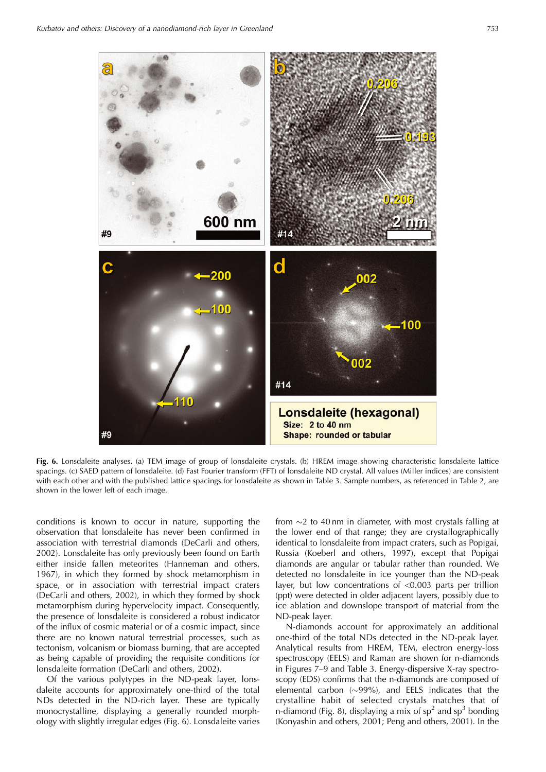

**Fig. 6.** Lonsdaleite analyses. (a) TEM image of group of lonsdaleite crystals. (b) HREM image showing characteristic lonsdaleite lattice spacings. (c) SAED pattern of lonsdaleite. (d) Fast Fourier transform (FFT) of lonsdaleite ND crystal. All values (Miller indices) are consistent with each other and with the published lattice spacings for lonsdaleite as shown in Table 3. Sample numbers, as referenced in Table 2, are shown in the lower left of each image.

conditions is known to occur in nature, supporting the observation that lonsdaleite has never been confirmed in association with terrestrial diamonds (DeCarli and others, 2002). Lonsdaleite has only previously been found on Earth either inside fallen meteorites (Hanneman and others, 1967), in which they formed by shock metamorphism in space, or in association with terrestrial impact craters (DeCarli and others, 2002), in which they formed by shock metamorphism during hypervelocity impact. Consequently, the presence of lonsdaleite is considered a robust indicator of the influx of cosmic material or of a cosmic impact, since there are no known natural terrestrial processes, such as tectonism, volcanism or biomass burning, that are accepted as being capable of providing the requisite conditions for lonsdaleite formation (DeCarli and others, 2002).

Of the various polytypes in the ND-peak layer, lonsdaleite accounts for approximately one-third of the total NDs detected in the ND-rich layer. These are typically monocrystalline, displaying a generally rounded morphology with slightly irregular edges (Fig. 6). Lonsdaleite varies

from  $\sim$ 2 to 40 nm in diameter, with most crystals falling at the lower end of that range; they are crystallographically identical to lonsdaleite from impact craters, such as Popigai, Russia (Koeberl and others, 1997), except that Popigai diamonds are angular or tabular rather than rounded. We detected no lonsdaleite in ice younger than the ND-peak layer, but low concentrations of <0.003 parts per trillion (ppt) were detected in older adjacent layers, possibly due to ice ablation and downslope transport of material from the ND-peak layer.

N-diamonds account for approximately an additional one-third of the total NDs detected in the ND-peak layer. Analytical results from HREM, TEM, electron energy-loss spectroscopy (EELS) and Raman are shown for n-diamonds in Figures 7–9 and Table 3. Energy-dispersive X-ray spectroscopy (EDS) confirms that the n-diamonds are composed of elemental carbon  $(\sim 99\%)$ , and EELS indicates that the crystalline habit of selected crystals matches that of n-diamond (Fig. 8), displaying a mix of  $sp<sup>2</sup>$  and  $sp<sup>3</sup>$  bonding (Konyashin and others, 2001; Peng and others, 2001). In the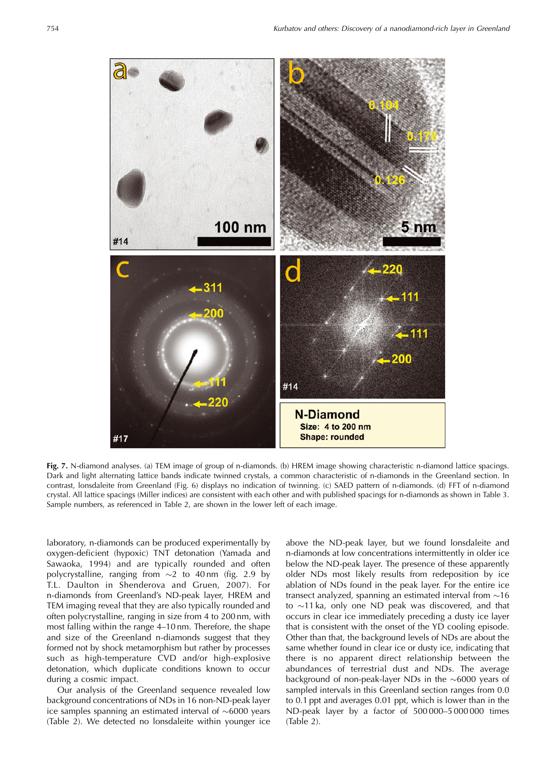

**Fig. 7.** N-diamond analyses. (a) TEM image of group of n-diamonds. (b) HREM image showing characteristic n-diamond lattice spacings. Dark and light alternating lattice bands indicate twinned crystals, a common characteristic of n-diamonds in the Greenland section. In contrast, lonsdaleite from Greenland (Fig. 6) displays no indication of twinning. (c) SAED pattern of n-diamonds. (d) FFT of n-diamond crystal. All lattice spacings (Miller indices) are consistent with each other and with published spacings for n-diamonds as shown in Table 3. Sample numbers, as referenced in Table 2, are shown in the lower left of each image.

laboratory, n-diamonds can be produced experimentally by oxygen-deficient (hypoxic) TNT detonation (Yamada and Sawaoka, 1994) and are typically rounded and often polycrystalline, ranging from  $\sim$ 2 to 40 nm (fig. 2.9 by T.L. Daulton in Shenderova and Gruen, 2007). For n-diamonds from Greenland's ND-peak layer, HREM and TEM imaging reveal that they are also typically rounded and often polycrystalline, ranging in size from 4 to 200 nm, with most falling within the range 4–10 nm. Therefore, the shape and size of the Greenland n-diamonds suggest that they formed not by shock metamorphism but rather by processes such as high-temperature CVD and/or high-explosive detonation, which duplicate conditions known to occur during a cosmic impact.

Our analysis of the Greenland sequence revealed low background concentrations of NDs in 16 non-ND-peak layer ice samples spanning an estimated interval of  $\sim 6000$  years (Table 2). We detected no lonsdaleite within younger ice above the ND-peak layer, but we found lonsdaleite and n-diamonds at low concentrations intermittently in older ice below the ND-peak layer. The presence of these apparently older NDs most likely results from redeposition by ice ablation of NDs found in the peak layer. For the entire ice transect analyzed, spanning an estimated interval from  $\sim$ 16 to  $\sim$ 11 ka, only one ND peak was discovered, and that occurs in clear ice immediately preceding a dusty ice layer that is consistent with the onset of the YD cooling episode. Other than that, the background levels of NDs are about the same whether found in clear ice or dusty ice, indicating that there is no apparent direct relationship between the abundances of terrestrial dust and NDs. The average background of non-peak-layer NDs in the  $\sim 6000$  years of sampled intervals in this Greenland section ranges from 0.0 to 0.1 ppt and averages 0.01 ppt, which is lower than in the ND-peak layer by a factor of 500 000–5 000 000 times (Table 2).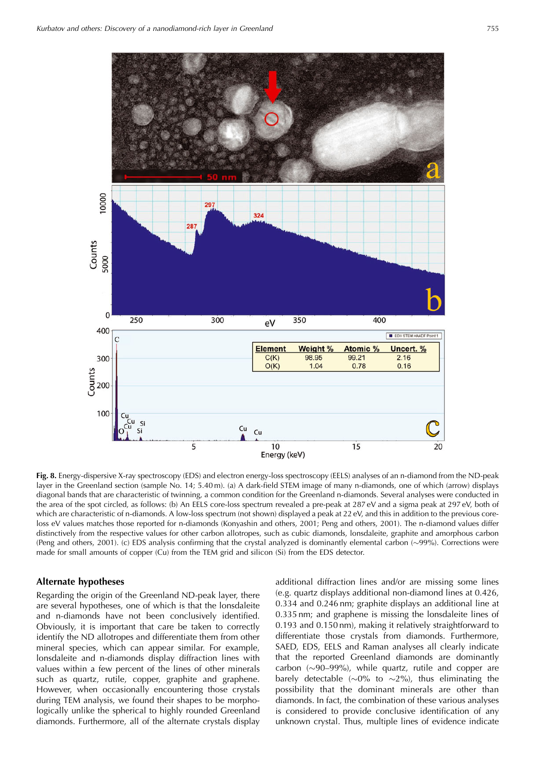

**Fig. 8.** Energy-dispersive X-ray spectroscopy (EDS) and electron energy-loss spectroscopy (EELS) analyses of an n-diamond from the ND-peak layer in the Greenland section (sample No. 14; 5.40 m). (a) A dark-field STEM image of many n-diamonds, one of which (arrow) displays diagonal bands that are characteristic of twinning, a common condition for the Greenland n-diamonds. Several analyses were conducted in the area of the spot circled, as follows: (b) An EELS core-loss spectrum revealed a pre-peak at 287 eV and a sigma peak at 297 eV, both of which are characteristic of n-diamonds. A low-loss spectrum (not shown) displayed a peak at 22 eV, and this in addition to the previous coreloss eV values matches those reported for n-diamonds (Konyashin and others, 2001; Peng and others, 2001). The n-diamond values differ distinctively from the respective values for other carbon allotropes, such as cubic diamonds, lonsdaleite, graphite and amorphous carbon (Peng and others, 2001). (c) EDS analysis confirming that the crystal analyzed is dominantly elemental carbon  $(\sim 99\%)$ . Corrections were made for small amounts of copper (Cu) from the TEM grid and silicon (Si) from the EDS detector.

#### **Alternate hypotheses**

Regarding the origin of the Greenland ND-peak layer, there are several hypotheses, one of which is that the lonsdaleite and n-diamonds have not been conclusively identified. Obviously, it is important that care be taken to correctly identify the ND allotropes and differentiate them from other mineral species, which can appear similar. For example, lonsdaleite and n-diamonds display diffraction lines with values within a few percent of the lines of other minerals such as quartz, rutile, copper, graphite and graphene. However, when occasionally encountering those crystals during TEM analysis, we found their shapes to be morphologically unlike the spherical to highly rounded Greenland diamonds. Furthermore, all of the alternate crystals display

additional diffraction lines and/or are missing some lines (e.g. quartz displays additional non-diamond lines at 0.426, 0.334 and 0.246 nm; graphite displays an additional line at 0.335 nm; and graphene is missing the lonsdaleite lines of 0.193 and 0.150 nm), making it relatively straightforward to differentiate those crystals from diamonds. Furthermore, SAED, EDS, EELS and Raman analyses all clearly indicate that the reported Greenland diamonds are dominantly carbon  $(\sim]90-99\%)$ , while quartz, rutile and copper are barely detectable ( $\sim 0\%$  to  $\sim 2\%$ ), thus eliminating the possibility that the dominant minerals are other than diamonds. In fact, the combination of these various analyses is considered to provide conclusive identification of any unknown crystal. Thus, multiple lines of evidence indicate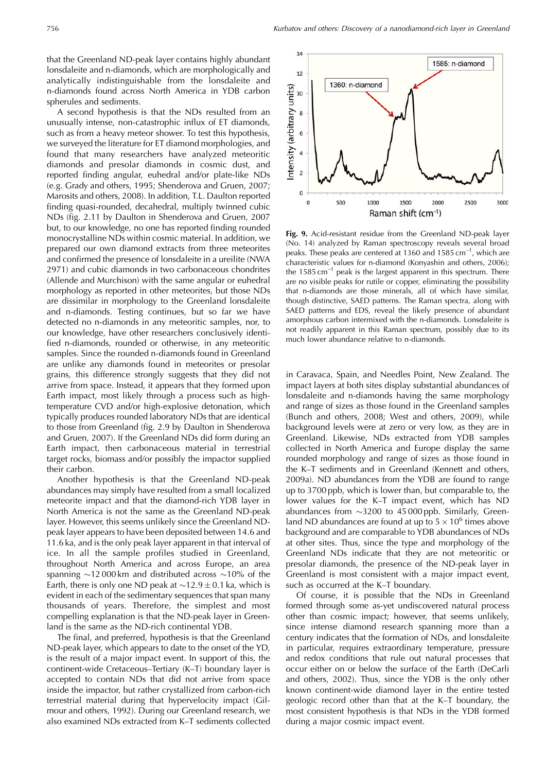that the Greenland ND-peak layer contains highly abundant lonsdaleite and n-diamonds, which are morphologically and analytically indistinguishable from the lonsdaleite and n-diamonds found across North America in YDB carbon spherules and sediments.

A second hypothesis is that the NDs resulted from an unusually intense, non-catastrophic influx of ET diamonds, such as from a heavy meteor shower. To test this hypothesis, we surveyed the literature for ET diamond morphologies, and found that many researchers have analyzed meteoritic diamonds and presolar diamonds in cosmic dust, and reported finding angular, euhedral and/or plate-like NDs (e.g. Grady and others, 1995; Shenderova and Gruen, 2007; Marosits and others, 2008). In addition, T.L. Daulton reported finding quasi-rounded, decahedral, multiply twinned cubic NDs (fig. 2.11 by Daulton in Shenderova and Gruen, 2007 but, to our knowledge, no one has reported finding rounded monocrystalline NDs within cosmic material. In addition, we prepared our own diamond extracts from three meteorites and confirmed the presence of lonsdaleite in a ureilite (NWA 2971) and cubic diamonds in two carbonaceous chondrites (Allende and Murchison) with the same angular or euhedral morphology as reported in other meteorites, but those NDs are dissimilar in morphology to the Greenland lonsdaleite and n-diamonds. Testing continues, but so far we have detected no n-diamonds in any meteoritic samples, nor, to our knowledge, have other researchers conclusively identified n-diamonds, rounded or otherwise, in any meteoritic samples. Since the rounded n-diamonds found in Greenland are unlike any diamonds found in meteorites or presolar grains, this difference strongly suggests that they did not arrive from space. Instead, it appears that they formed upon Earth impact, most likely through a process such as hightemperature CVD and/or high-explosive detonation, which typically produces rounded laboratory NDs that are identical to those from Greenland (fig. 2.9 by Daulton in Shenderova and Gruen, 2007). If the Greenland NDs did form during an Earth impact, then carbonaceous material in terrestrial target rocks, biomass and/or possibly the impactor supplied their carbon.

Another hypothesis is that the Greenland ND-peak abundances may simply have resulted from a small localized meteorite impact and that the diamond-rich YDB layer in North America is not the same as the Greenland ND-peak layer. However, this seems unlikely since the Greenland NDpeak layer appears to have been deposited between 14.6 and 11.6 ka, and is the only peak layer apparent in that interval of ice. In all the sample profiles studied in Greenland, throughout North America and across Europe, an area spanning  $\sim$ 12 000 km and distributed across  $\sim$ 10% of the Earth, there is only one ND peak at  $\sim$ 12.9  $\pm$  0.1 ka, which is evident in each of the sedimentary sequences that span many thousands of years. Therefore, the simplest and most compelling explanation is that the ND-peak layer in Greenland is the same as the ND-rich continental YDB.

The final, and preferred, hypothesis is that the Greenland ND-peak layer, which appears to date to the onset of the YD, is the result of a major impact event. In support of this, the continent-wide Cretaceous–Tertiary (K–T) boundary layer is accepted to contain NDs that did not arrive from space inside the impactor, but rather crystallized from carbon-rich terrestrial material during that hypervelocity impact (Gilmour and others, 1992). During our Greenland research, we also examined NDs extracted from K–T sediments collected



**Fig. 9.** Acid-resistant residue from the Greenland ND-peak layer (No. 14) analyzed by Raman spectroscopy reveals several broad peaks. These peaks are centered at 1360 and 1585  $cm^{-1}$ , which are characteristic values for n-diamond (Konyashin and others, 2006); the  $1585 \text{ cm}^{-1}$  peak is the largest apparent in this spectrum. There are no visible peaks for rutile or copper, eliminating the possibility that n-diamonds are those minerals, all of which have similar, though distinctive, SAED patterns. The Raman spectra, along with SAED patterns and EDS, reveal the likely presence of abundant amorphous carbon intermixed with the n-diamonds. Lonsdaleite is not readily apparent in this Raman spectrum, possibly due to its much lower abundance relative to n-diamonds.

in Caravaca, Spain, and Needles Point, New Zealand. The impact layers at both sites display substantial abundances of lonsdaleite and n-diamonds having the same morphology and range of sizes as those found in the Greenland samples (Bunch and others, 2008; West and others, 2009), while background levels were at zero or very low, as they are in Greenland. Likewise, NDs extracted from YDB samples collected in North America and Europe display the same rounded morphology and range of sizes as those found in the K–T sediments and in Greenland (Kennett and others, 2009a). ND abundances from the YDB are found to range up to 3700 ppb, which is lower than, but comparable to, the lower values for the K–T impact event, which has ND abundances from  $\sim$ 3200 to 45 000 ppb. Similarly, Greenland ND abundances are found at up to  $5 \times 10^6$  times above background and are comparable to YDB abundances of NDs at other sites. Thus, since the type and morphology of the Greenland NDs indicate that they are not meteoritic or presolar diamonds, the presence of the ND-peak layer in Greenland is most consistent with a major impact event, such as occurred at the K–T boundary.

Of course, it is possible that the NDs in Greenland formed through some as-yet undiscovered natural process other than cosmic impact; however, that seems unlikely, since intense diamond research spanning more than a century indicates that the formation of NDs, and lonsdaleite in particular, requires extraordinary temperature, pressure and redox conditions that rule out natural processes that occur either on or below the surface of the Earth (DeCarli and others, 2002). Thus, since the YDB is the only other known continent-wide diamond layer in the entire tested geologic record other than that at the K–T boundary, the most consistent hypothesis is that NDs in the YDB formed during a major cosmic impact event.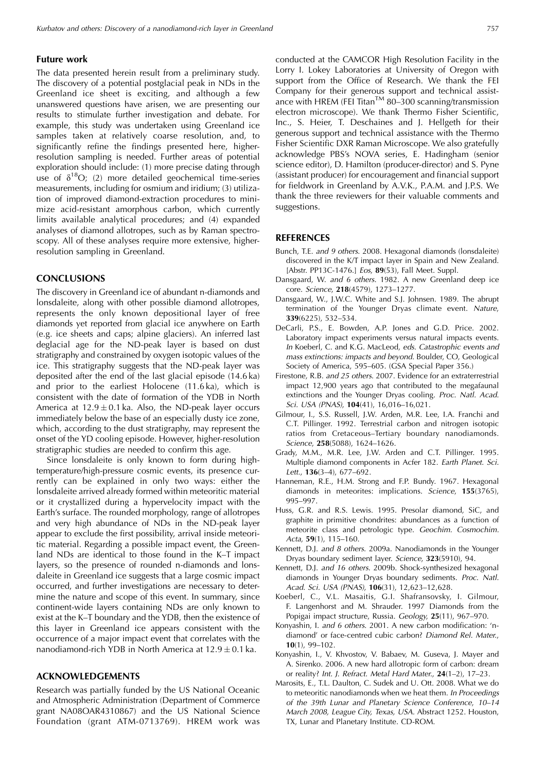#### **Future work**

The data presented herein result from a preliminary study. The discovery of a potential postglacial peak in NDs in the Greenland ice sheet is exciting, and although a few unanswered questions have arisen, we are presenting our results to stimulate further investigation and debate. For example, this study was undertaken using Greenland ice samples taken at relatively coarse resolution, and, to significantly refine the findings presented here, higherresolution sampling is needed. Further areas of potential exploration should include: (1) more precise dating through use of  $\delta^{18}O$ ; (2) more detailed geochemical time-series measurements, including for osmium and iridium; (3) utilization of improved diamond-extraction procedures to minimize acid-resistant amorphous carbon, which currently limits available analytical procedures; and (4) expanded analyses of diamond allotropes, such as by Raman spectroscopy. All of these analyses require more extensive, higherresolution sampling in Greenland.

#### **CONCLUSIONS**

The discovery in Greenland ice of abundant n-diamonds and lonsdaleite, along with other possible diamond allotropes, represents the only known depositional layer of free diamonds yet reported from glacial ice anywhere on Earth (e.g. ice sheets and caps; alpine glaciers). An inferred last deglacial age for the ND-peak layer is based on dust stratigraphy and constrained by oxygen isotopic values of the ice. This stratigraphy suggests that the ND-peak layer was deposited after the end of the last glacial episode (14.6 ka) and prior to the earliest Holocene (11.6 ka), which is consistent with the date of formation of the YDB in North America at  $12.9 \pm 0.1$  ka. Also, the ND-peak layer occurs immediately below the base of an especially dusty ice zone, which, according to the dust stratigraphy, may represent the onset of the YD cooling episode. However, higher-resolution stratigraphic studies are needed to confirm this age.

Since lonsdaleite is only known to form during hightemperature/high-pressure cosmic events, its presence currently can be explained in only two ways: either the lonsdaleite arrived already formed within meteoritic material or it crystallized during a hypervelocity impact with the Earth's surface. The rounded morphology, range of allotropes and very high abundance of NDs in the ND-peak layer appear to exclude the first possibility, arrival inside meteoritic material. Regarding a possible impact event, the Greenland NDs are identical to those found in the K–T impact layers, so the presence of rounded n-diamonds and lonsdaleite in Greenland ice suggests that a large cosmic impact occurred, and further investigations are necessary to determine the nature and scope of this event. In summary, since continent-wide layers containing NDs are only known to exist at the K–T boundary and the YDB, then the existence of this layer in Greenland ice appears consistent with the occurrence of a major impact event that correlates with the nanodiamond-rich YDB in North America at  $12.9 \pm 0.1$  ka.

#### **ACKNOWLEDGEMENTS**

Research was partially funded by the US National Oceanic and Atmospheric Administration (Department of Commerce grant NA08OAR4310867) and the US National Science Foundation (grant ATM-0713769). HREM work was

conducted at the CAMCOR High Resolution Facility in the Lorry I. Lokey Laboratories at University of Oregon with support from the Office of Research. We thank the FEI Company for their generous support and technical assistance with HREM (FEI Titan<sup>TM</sup> 80–300 scanning/transmission electron microscope). We thank Thermo Fisher Scientific, Inc., S. Heier, T. Deschaines and J. Hellgeth for their generous support and technical assistance with the Thermo Fisher Scientific DXR Raman Microscope. We also gratefully acknowledge PBS's NOVA series, E. Hadingham (senior science editor), D. Hamilton (producer-director) and S. Pyne (assistant producer) for encouragement and financial support for fieldwork in Greenland by A.V.K., P.A.M. and J.P.S. We thank the three reviewers for their valuable comments and suggestions.

#### **REFERENCES**

- Bunch, T.E. and 9 others. 2008. Hexagonal diamonds (lonsdaleite) discovered in the K/T impact layer in Spain and New Zealand. [Abstr. PP13C-1476.] Eos, **89**(53), Fall Meet. Suppl.
- Dansgaard, W. and 6 others. 1982. A new Greenland deep ice core. Science, **218**(4579), 1273–1277.
- Dansgaard, W., J.W.C. White and S.J. Johnsen. 1989. The abrupt termination of the Younger Dryas climate event. Nature, **339**(6225), 532–534.
- DeCarli, P.S., E. Bowden, A.P. Jones and G.D. Price. 2002. Laboratory impact experiments versus natural impacts events. In Koeberl, C. and K.G. MacLeod, eds. Catastrophic events and mass extinctions: impacts and beyond. Boulder, CO, Geological Society of America, 595–605. (GSA Special Paper 356.)
- Firestone, R.B. and 25 others. 2007. Evidence for an extraterrestrial impact 12,900 years ago that contributed to the megafaunal extinctions and the Younger Dryas cooling. Proc. Natl. Acad. Sci. USA (PNAS), **104**(41), 16,016–16,021.
- Gilmour, I., S.S. Russell, J.W. Arden, M.R. Lee, I.A. Franchi and C.T. Pillinger. 1992. Terrestrial carbon and nitrogen isotopic ratios from Cretaceous–Tertiary boundary nanodiamonds. Science, **258**(5088), 1624–1626.
- Grady, M.M., M.R. Lee, J.W. Arden and C.T. Pillinger. 1995. Multiple diamond components in Acfer 182. Earth Planet. Sci. Lett., **136**(3–4), 677–692.
- Hanneman, R.E., H.M. Strong and F.P. Bundy. 1967. Hexagonal diamonds in meteorites: implications. Science, **155**(3765), 995–997.
- Huss, G.R. and R.S. Lewis. 1995. Presolar diamond, SiC, and graphite in primitive chondrites: abundances as a function of meteorite class and petrologic type. Geochim. Cosmochim. Acta, **59**(1), 115–160.
- Kennett, D.J. and 8 others. 2009a. Nanodiamonds in the Younger Dryas boundary sediment layer. Science, **323**(5910), 94.
- Kennett, D.J. and 16 others. 2009b. Shock-synthesized hexagonal diamonds in Younger Dryas boundary sediments. Proc. Natl. Acad. Sci. USA (PNAS), **106**(31), 12,623–12,628.
- Koeberl, C., V.L. Masaitis, G.I. Shafransovsky, I. Gilmour, F. Langenhorst and M. Shrauder. 1997 Diamonds from the Popigai impact structure, Russia. Geology, **25**(11), 967–970.
- Konyashin, I. and 6 others. 2001. A new carbon modification: 'ndiamond' or face-centred cubic carbon? Diamond Rel. Mater., **10**(1), 99–102.
- Konyashin, I., V. Khvostov, V. Babaev, M. Guseva, J. Mayer and A. Sirenko. 2006. A new hard allotropic form of carbon: dream or reality? Int. J. Refract. Metal Hard Mater., **24**(1–2), 17–23.
- Marosits, E., T.L. Daulton, C. Sudek and U. Ott. 2008. What we do to meteoritic nanodiamonds when we heat them. In Proceedings of the 39th Lunar and Planetary Science Conference, 10–14 March 2008, League City, Texas, USA. Abstract 1252. Houston, TX, Lunar and Planetary Institute. CD-ROM.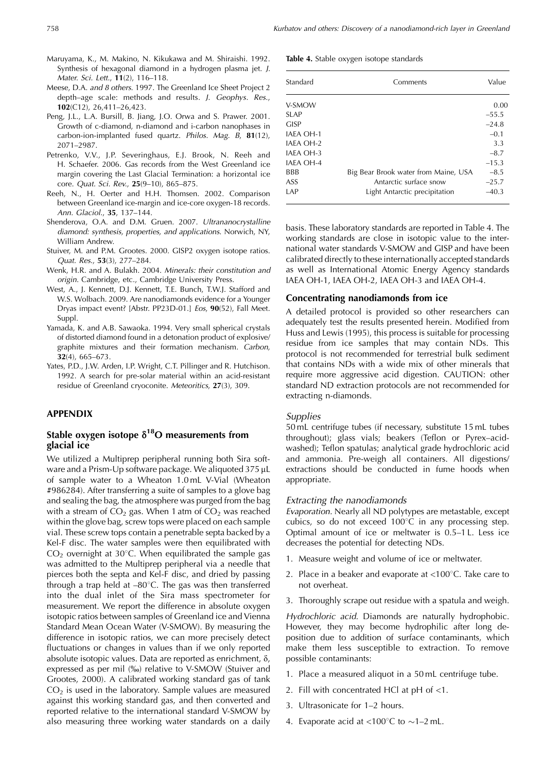- Maruyama, K., M. Makino, N. Kikukawa and M. Shiraishi. 1992. Synthesis of hexagonal diamond in a hydrogen plasma jet. J. Mater. Sci. Lett., **11**(2), 116–118.
- Meese, D.A. and 8 others. 1997. The Greenland Ice Sheet Project 2 depth–age scale: methods and results. J. Geophys. Res., **102**(C12), 26,411–26,423.
- Peng, J.L., L.A. Bursill, B. Jiang, J.O. Orwa and S. Prawer. 2001. Growth of c-diamond, n-diamond and i-carbon nanophases in carbon-ion-implanted fused quartz. Philos. Mag. B, **81**(12), 2071–2987.
- Petrenko, V.V., J.P. Severinghaus, E.J. Brook, N. Reeh and H. Schaefer. 2006. Gas records from the West Greenland ice margin covering the Last Glacial Termination: a horizontal ice core. Quat. Sci. Rev., **25**(9–10), 865–875.
- Reeh, N., H. Oerter and H.H. Thomsen. 2002. Comparison between Greenland ice-margin and ice-core oxygen-18 records. Ann. Glaciol., **35**, 137–144.
- Shenderova, O.A. and D.M. Gruen. 2007. Ultrananocrystalline diamond: synthesis, properties, and applications. Norwich, NY, William Andrew.
- Stuiver, M. and P.M. Grootes. 2000. GISP2 oxygen isotope ratios. Quat. Res., **53**(3), 277–284.
- Wenk, H.R. and A. Bulakh. 2004. Minerals: their constitution and origin. Cambridge, etc., Cambridge University Press.
- West, A., J. Kennett, D.J. Kennett, T.E. Bunch, T.W.J. Stafford and W.S. Wolbach. 2009. Are nanodiamonds evidence for a Younger Dryas impact event? [Abstr. PP23D-01.] Eos, **90**(52), Fall Meet. Suppl.
- Yamada, K. and A.B. Sawaoka. 1994. Very small spherical crystals of distorted diamond found in a detonation product of explosive/ graphite mixtures and their formation mechanism. Carbon, **32**(4), 665–673.
- Yates, P.D., J.W. Arden, I.P. Wright, C.T. Pillinger and R. Hutchison. 1992. A search for pre-solar material within an acid-resistant residue of Greenland cryoconite. Meteoritics, **27**(3), 309.

#### **APPENDIX**

#### Stable oxygen isotope  $\delta^{18}$ O measurements from **glacial ice**

We utilized a Multiprep peripheral running both Sira software and a Prism-Up software package. We aliquoted 375 µL of sample water to a Wheaton 1.0 mL V-Vial (Wheaton #986284). After transferring a suite of samples to a glove bag and sealing the bag, the atmosphere was purged from the bag with a stream of  $CO<sub>2</sub>$  gas. When 1 atm of  $CO<sub>2</sub>$  was reached within the glove bag, screw tops were placed on each sample vial. These screw tops contain a penetrable septa backed by a Kel-F disc. The water samples were then equilibrated with  $CO<sub>2</sub>$  overnight at 30 $^{\circ}$ C. When equilibrated the sample gas was admitted to the Multiprep peripheral via a needle that pierces both the septa and Kel-F disc, and dried by passing through a trap held at  $-80^{\circ}$ C. The gas was then transferred into the dual inlet of the Sira mass spectrometer for measurement. We report the difference in absolute oxygen isotopic ratios between samples of Greenland ice and Vienna Standard Mean Ocean Water (V-SMOW). By measuring the difference in isotopic ratios, we can more precisely detect fluctuations or changes in values than if we only reported absolute isotopic values. Data are reported as enrichment,  $\delta$ , expressed as per mil (%) relative to V-SMOW (Stuiver and Grootes, 2000). A calibrated working standard gas of tank  $CO<sub>2</sub>$  is used in the laboratory. Sample values are measured against this working standard gas, and then converted and reported relative to the international standard V-SMOW by also measuring three working water standards on a daily **Table 4.** Stable oxygen isotope standards

| Standard    | Comments                             | Value   |
|-------------|--------------------------------------|---------|
| V-SMOW      |                                      | 0.00    |
| SLAP        |                                      | $-55.5$ |
| <b>GISP</b> |                                      | $-24.8$ |
| IAFA OH-1   |                                      | $-0.1$  |
| IAEA OH-2   |                                      | 3.3     |
| IAFA OH-3   |                                      | $-8.7$  |
| IAFA OH-4   |                                      | $-15.3$ |
| <b>BBB</b>  | Big Bear Brook water from Maine, USA | $-8.5$  |
| ASS.        | Antarctic surface snow               | $-25.7$ |
| LAP         | Light Antarctic precipitation        | $-40.3$ |

basis. These laboratory standards are reported in Table 4. The working standards are close in isotopic value to the international water standards V-SMOW and GISP and have been calibrated directly to these internationally accepted standards as well as International Atomic Energy Agency standards IAEA OH-1, IAEA OH-2, IAEA OH-3 and IAEA OH-4.

#### **Concentrating nanodiamonds from ice**

A detailed protocol is provided so other researchers can adequately test the results presented herein. Modified from Huss and Lewis (1995), this process is suitable for processing residue from ice samples that may contain NDs. This protocol is not recommended for terrestrial bulk sediment that contains NDs with a wide mix of other minerals that require more aggressive acid digestion. CAUTION: other standard ND extraction protocols are not recommended for extracting n-diamonds.

#### **Supplies**

50 mL centrifuge tubes (if necessary, substitute 15 mL tubes throughout); glass vials; beakers (Teflon or Pyrex–acidwashed); Teflon spatulas; analytical grade hydrochloric acid and ammonia. Pre-weigh all containers. All digestions/ extractions should be conducted in fume hoods when appropriate.

#### Extracting the nanodiamonds

Evaporation. Nearly all ND polytypes are metastable, except cubics, so do not exceed  $100^{\circ}$ C in any processing step. Optimal amount of ice or meltwater is 0.5–1 L. Less ice decreases the potential for detecting NDs.

- 1. Measure weight and volume of ice or meltwater.
- 2. Place in a beaker and evaporate at <100 $^{\circ}$ C. Take care to not overheat.
- 3. Thoroughly scrape out residue with a spatula and weigh.

Hydrochloric acid. Diamonds are naturally hydrophobic. However, they may become hydrophilic after long deposition due to addition of surface contaminants, which make them less susceptible to extraction. To remove possible contaminants:

- 1. Place a measured aliquot in a 50 mL centrifuge tube.
- 2. Fill with concentrated HCl at pH of <1.
- 3. Ultrasonicate for 1–2 hours.
- 4. Evaporate acid at <100 $^{\circ}$ C to  $\sim$ 1–2 mL.